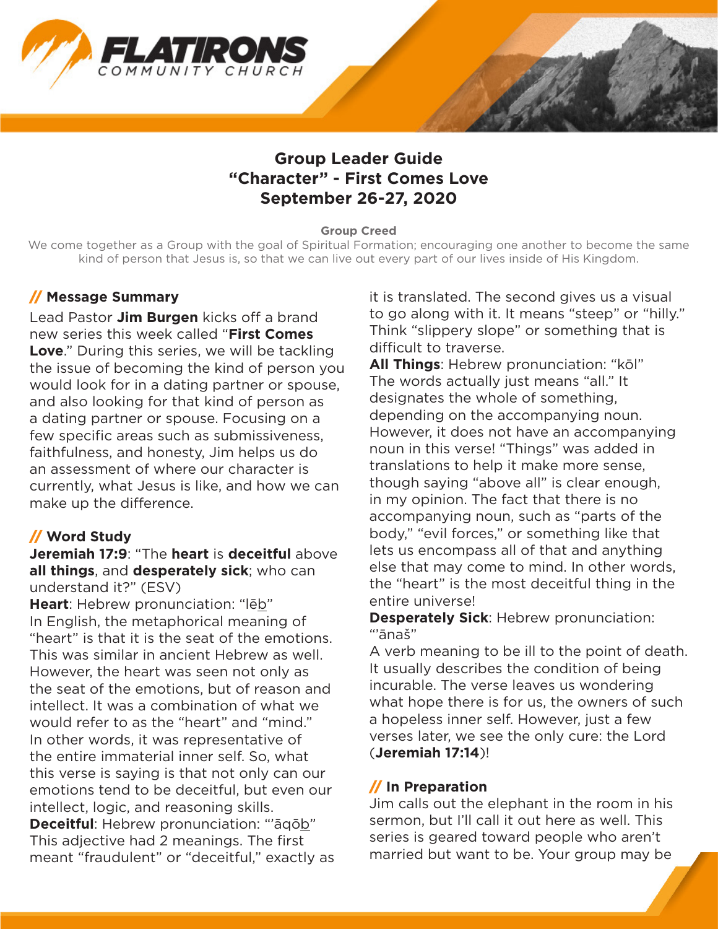

# **Group Leader Guide "Character" - First Comes Love September 26-27, 2020**

#### **Group Creed**

We come together as a Group with the goal of Spiritual Formation; encouraging one another to become the same kind of person that Jesus is, so that we can live out every part of our lives inside of His Kingdom.

#### // **Message Summary**

Lead Pastor **Jim Burgen** kicks off a brand new series this week called "**First Comes**  Love." During this series, we will be tackling the issue of becoming the kind of person you would look for in a dating partner or spouse, and also looking for that kind of person as a dating partner or spouse. Focusing on a few specific areas such as submissiveness, faithfulness, and honesty, Jim helps us do an assessment of where our character is currently, what Jesus is like, and how we can make up the difference.

## // **Word Study**

**Jeremiah 17:9**: "The **heart** is **deceitful** above **all things**, and **desperately sick**; who can understand it?" (ESV)

**Heart:** Hebrew pronunciation: "leb" In English, the metaphorical meaning of "heart" is that it is the seat of the emotions. This was similar in ancient Hebrew as well. However, the heart was seen not only as the seat of the emotions, but of reason and intellect. It was a combination of what we would refer to as the "heart" and "mind." In other words, it was representative of the entire immaterial inner self. So, what this verse is saying is that not only can our emotions tend to be deceitful, but even our intellect, logic, and reasoning skills.

**Deceitful**: Hebrew pronunciation: "'āqōb" This adjective had 2 meanings. The first meant "fraudulent" or "deceitful," exactly as it is translated. The second gives us a visual to go along with it. It means "steep" or "hilly." Think "slippery slope" or something that is difficult to traverse.

**All Things**: Hebrew pronunciation: "kōl" The words actually just means "all." It designates the whole of something, depending on the accompanying noun. However, it does not have an accompanying noun in this verse! "Things" was added in translations to help it make more sense, though saying "above all" is clear enough, in my opinion. The fact that there is no accompanying noun, such as "parts of the body," "evil forces," or something like that lets us encompass all of that and anything else that may come to mind. In other words, the "heart" is the most deceitful thing in the entire universe!

**Desperately Sick**: Hebrew pronunciation: "'ānaš"

A verb meaning to be ill to the point of death. It usually describes the condition of being incurable. The verse leaves us wondering what hope there is for us, the owners of such a hopeless inner self. However, just a few verses later, we see the only cure: the Lord (**Jeremiah 17:14**)!

#### // **In Preparation**

Jim calls out the elephant in the room in his sermon, but I'll call it out here as well. This series is geared toward people who aren't married but want to be. Your group may be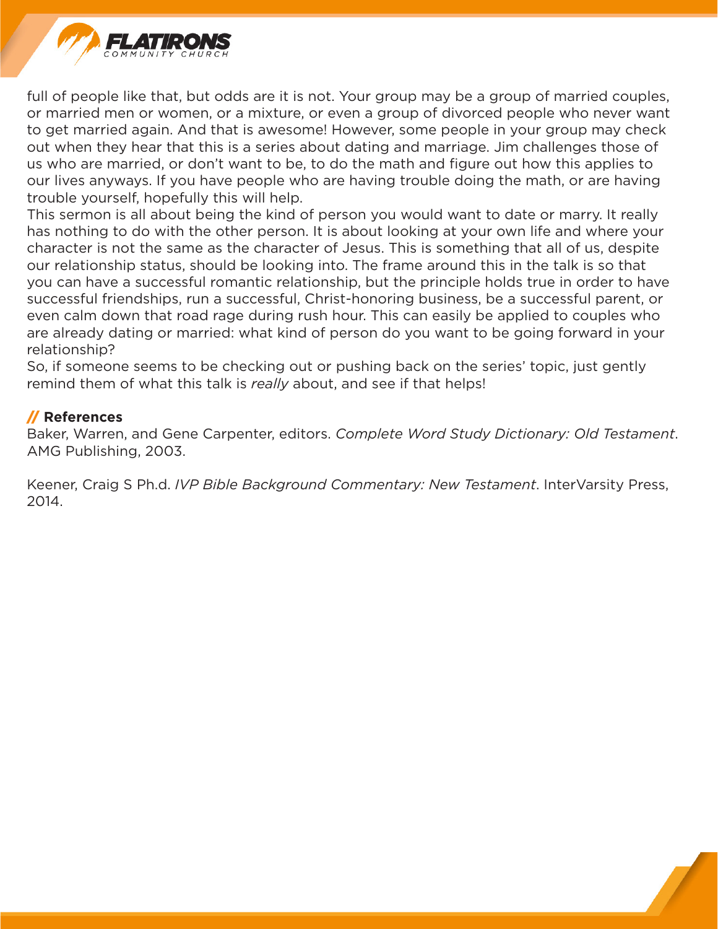

full of people like that, but odds are it is not. Your group may be a group of married couples, or married men or women, or a mixture, or even a group of divorced people who never want to get married again. And that is awesome! However, some people in your group may check out when they hear that this is a series about dating and marriage. Jim challenges those of us who are married, or don't want to be, to do the math and figure out how this applies to our lives anyways. If you have people who are having trouble doing the math, or are having trouble yourself, hopefully this will help.

This sermon is all about being the kind of person you would want to date or marry. It really has nothing to do with the other person. It is about looking at your own life and where your character is not the same as the character of Jesus. This is something that all of us, despite our relationship status, should be looking into. The frame around this in the talk is so that you can have a successful romantic relationship, but the principle holds true in order to have successful friendships, run a successful, Christ-honoring business, be a successful parent, or even calm down that road rage during rush hour. This can easily be applied to couples who are already dating or married: what kind of person do you want to be going forward in your relationship?

So, if someone seems to be checking out or pushing back on the series' topic, just gently remind them of what this talk is *really* about, and see if that helps!

#### // **References**

Baker, Warren, and Gene Carpenter, editors. *Complete Word Study Dictionary: Old Testament*. AMG Publishing, 2003.

Keener, Craig S Ph.d. *IVP Bible Background Commentary: New Testament*. InterVarsity Press, 2014.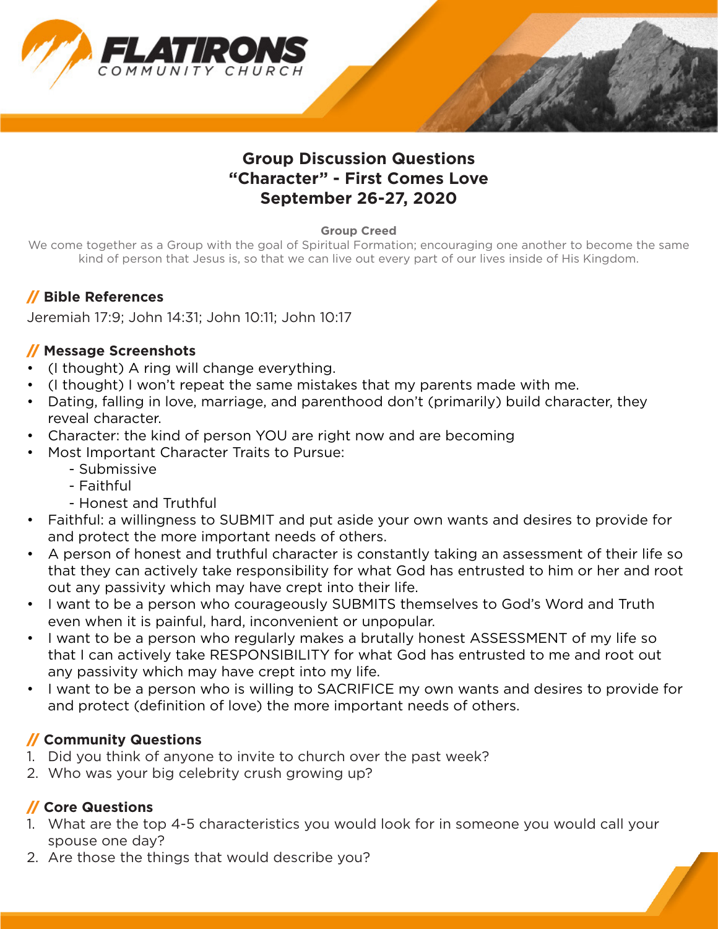

# **Group Discussion Questions "Character" - First Comes Love September 26-27, 2020**

#### **Group Creed**

We come together as a Group with the goal of Spiritual Formation; encouraging one another to become the same kind of person that Jesus is, so that we can live out every part of our lives inside of His Kingdom.

## // **Bible References**

Jeremiah 17:9; John 14:31; John 10:11; John 10:17

#### // **Message Screenshots**

- (I thought) A ring will change everything.
- (I thought) I won't repeat the same mistakes that my parents made with me.
- Dating, falling in love, marriage, and parenthood don't (primarily) build character, they reveal character.
- Character: the kind of person YOU are right now and are becoming
- Most Important Character Traits to Pursue:
	- Submissive
	- Faithful
	- Honest and Truthful
- Faithful: a willingness to SUBMIT and put aside your own wants and desires to provide for and protect the more important needs of others.
- A person of honest and truthful character is constantly taking an assessment of their life so that they can actively take responsibility for what God has entrusted to him or her and root out any passivity which may have crept into their life.
- I want to be a person who courageously SUBMITS themselves to God's Word and Truth even when it is painful, hard, inconvenient or unpopular.
- I want to be a person who regularly makes a brutally honest ASSESSMENT of my life so that I can actively take RESPONSIBILITY for what God has entrusted to me and root out any passivity which may have crept into my life.
- I want to be a person who is willing to SACRIFICE my own wants and desires to provide for and protect (definition of love) the more important needs of others.

## // **Community Questions**

- 1. Did you think of anyone to invite to church over the past week?
- 2. Who was your big celebrity crush growing up?

## // **Core Questions**

- 1. What are the top 4-5 characteristics you would look for in someone you would call your spouse one day?
- 2. Are those the things that would describe you?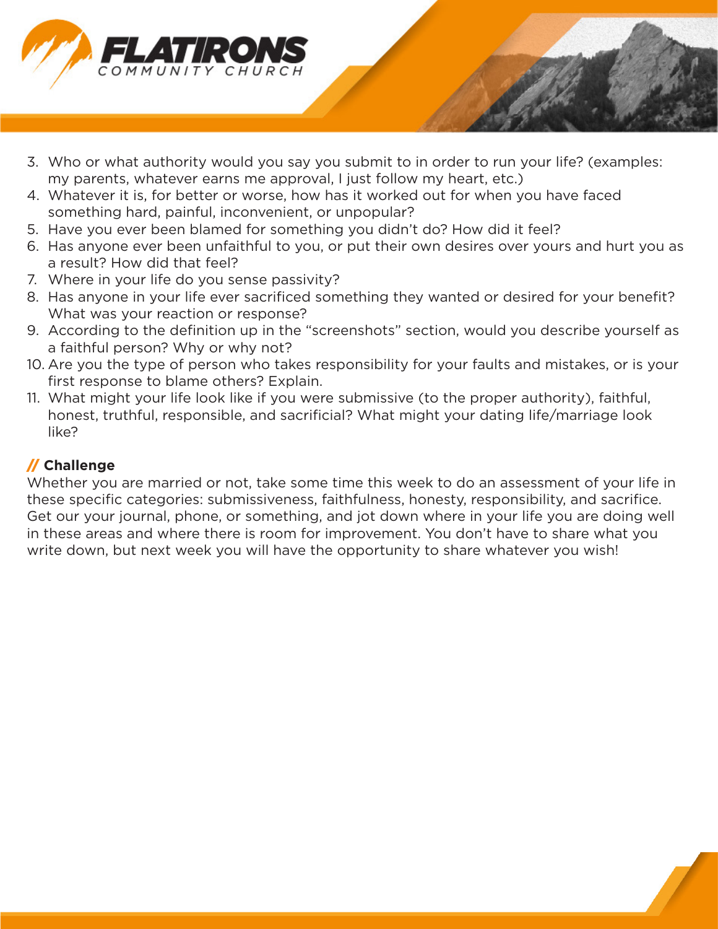

- 3. Who or what authority would you say you submit to in order to run your life? (examples: my parents, whatever earns me approval, I just follow my heart, etc.)
- 4. Whatever it is, for better or worse, how has it worked out for when you have faced something hard, painful, inconvenient, or unpopular?
- 5. Have you ever been blamed for something you didn't do? How did it feel?
- 6. Has anyone ever been unfaithful to you, or put their own desires over yours and hurt you as a result? How did that feel?
- 7. Where in your life do you sense passivity?
- 8. Has anyone in your life ever sacrificed something they wanted or desired for your benefit? What was your reaction or response?
- 9. According to the definition up in the "screenshots" section, would you describe yourself as a faithful person? Why or why not?
- 10. Are you the type of person who takes responsibility for your faults and mistakes, or is your first response to blame others? Explain.
- 11. What might your life look like if you were submissive (to the proper authority), faithful, honest, truthful, responsible, and sacrificial? What might your dating life/marriage look like?

## // **Challenge**

Whether you are married or not, take some time this week to do an assessment of your life in these specific categories: submissiveness, faithfulness, honesty, responsibility, and sacrifice. Get our your journal, phone, or something, and jot down where in your life you are doing well in these areas and where there is room for improvement. You don't have to share what you write down, but next week you will have the opportunity to share whatever you wish!